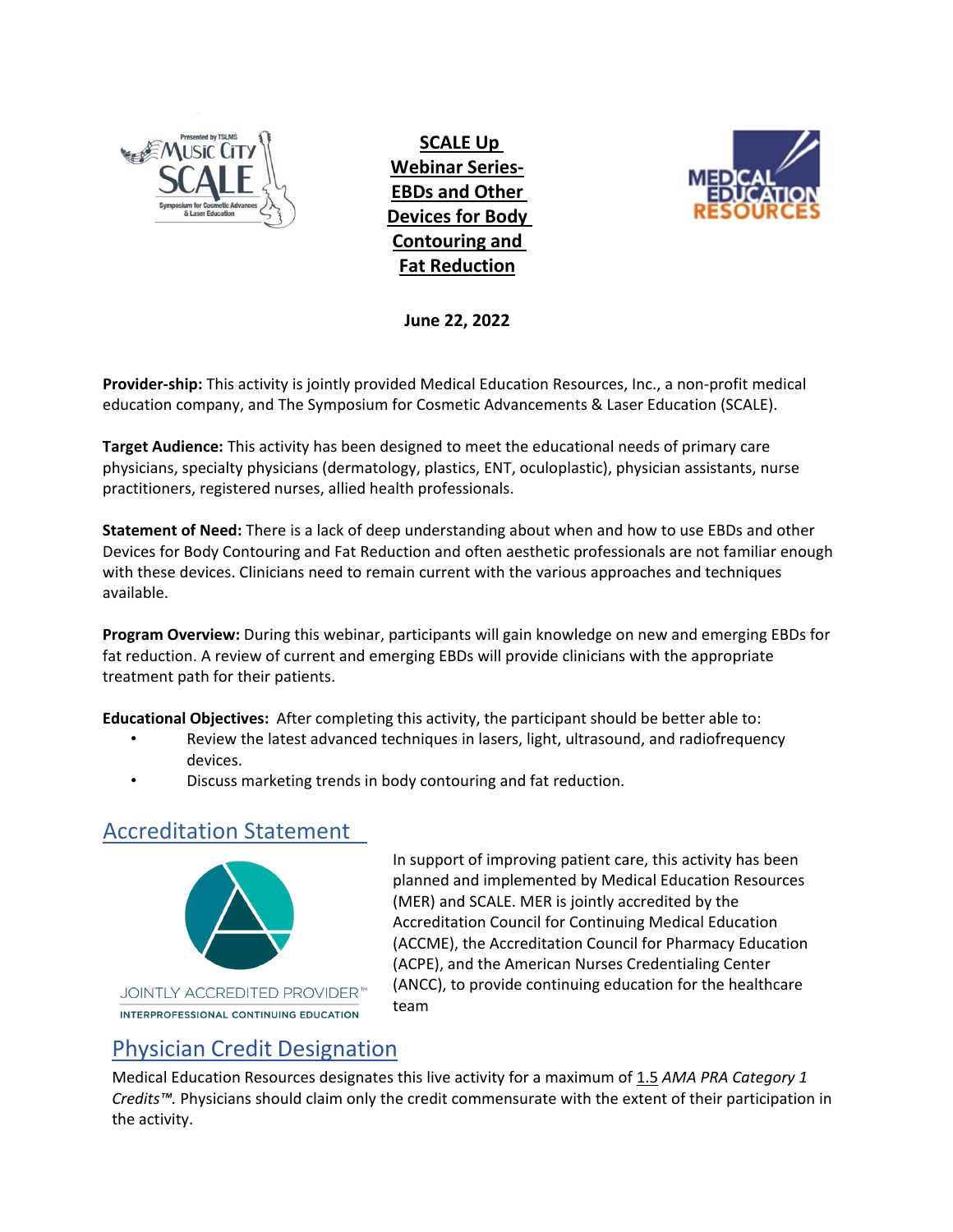

**SCALE Up Webinar Series-EBDs and Other Devices for Body Contouring and Fat Reduction**



**June 22, 2022** 

**Provider-ship:** This activity is jointly provided Medical Education Resources, Inc., a non-profit medical education company, and The Symposium for Cosmetic Advancements & Laser Education (SCALE).

**Target Audience:** This activity has been designed to meet the educational needs of primary care physicians, specialty physicians (dermatology, plastics, ENT, oculoplastic), physician assistants, nurse practitioners, registered nurses, allied health professionals.

**Statement of Need:** There is a lack of deep understanding about when and how to use EBDs and other Devices for Body Contouring and Fat Reduction and often aesthetic professionals are not familiar enough with these devices. Clinicians need to remain current with the various approaches and techniques available.

**Program Overview:** During this webinar, participants will gain knowledge on new and emerging EBDs for fat reduction. A review of current and emerging EBDs will provide clinicians with the appropriate treatment path for their patients.

**Educational Objectives:** After completing this activity, the participant should be better able to:

- Review the latest advanced techniques in lasers, light, ultrasound, and radiofrequency devices.
- Discuss marketing trends in body contouring and fat reduction.

#### Accreditation Statement



In support of improving patient care, this activity has been planned and implemented by Medical Education Resources (MER) and SCALE. MER is jointly accredited by the Accreditation Council for Continuing Medical Education (ACCME), the Accreditation Council for Pharmacy Education (ACPE), and the American Nurses Credentialing Center (ANCC), to provide continuing education for the healthcare team

#### Physician Credit Designation

Medical Education Resources designates this live activity for a maximum of 1.5 *AMA PRA Category 1 Credits™.* Physicians should claim only the credit commensurate with the extent of their participation in the activity.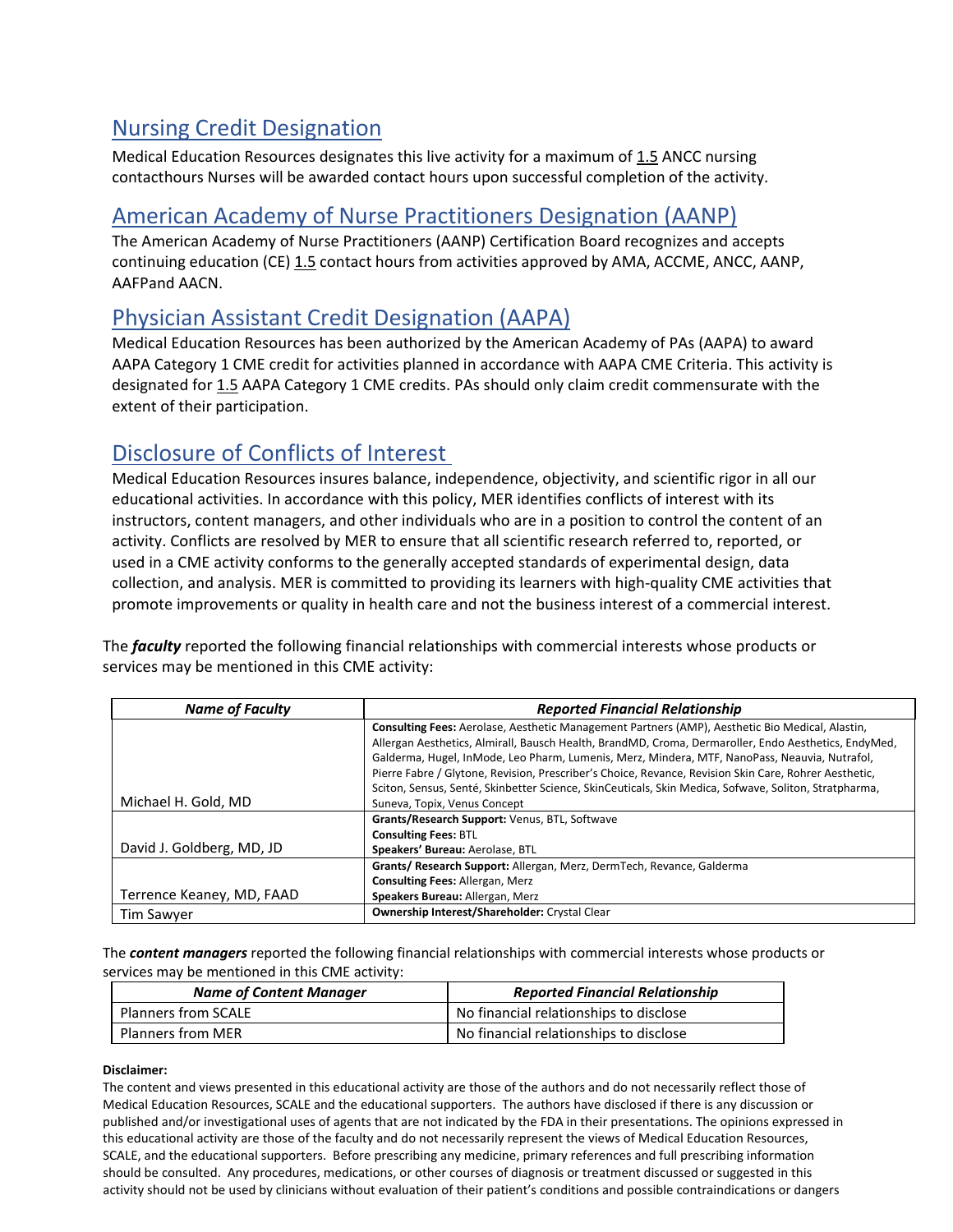# Nursing Credit Designation

Medical Education Resources designates this live activity for a maximum of 1.5 ANCC nursing contacthours Nurses will be awarded contact hours upon successful completion of the activity.

#### American Academy of Nurse Practitioners Designation (AANP)

The American Academy of Nurse Practitioners (AANP) Certification Board recognizes and accepts continuing education (CE) 1.5 contact hours from activities approved by AMA, ACCME, ANCC, AANP, AAFPand AACN.

## Physician Assistant Credit Designation (AAPA)

Medical Education Resources has been authorized by the American Academy of PAs (AAPA) to award AAPA Category 1 CME credit for activities planned in accordance with AAPA CME Criteria. This activity is designated for 1.5 AAPA Category 1 CME credits. PAs should only claim credit commensurate with the extent of their participation.

### Disclosure of Conflicts of Interest

Medical Education Resources insures balance, independence, objectivity, and scientific rigor in all our educational activities. In accordance with this policy, MER identifies conflicts of interest with its instructors, content managers, and other individuals who are in a position to control the content of an activity. Conflicts are resolved by MER to ensure that all scientific research referred to, reported, or used in a CME activity conforms to the generally accepted standards of experimental design, data collection, and analysis. MER is committed to providing its learners with high-quality CME activities that promote improvements or quality in health care and not the business interest of a commercial interest.

The *faculty* reported the following financial relationships with commercial interests whose products or services may be mentioned in this CME activity:

| <b>Name of Faculty</b>    | <b>Reported Financial Relationship</b>                                                                |
|---------------------------|-------------------------------------------------------------------------------------------------------|
|                           | Consulting Fees: Aerolase, Aesthetic Management Partners (AMP), Aesthetic Bio Medical, Alastin,       |
|                           | Allergan Aesthetics, Almirall, Bausch Health, BrandMD, Croma, Dermaroller, Endo Aesthetics, EndyMed,  |
|                           | Galderma, Hugel, InMode, Leo Pharm, Lumenis, Merz, Mindera, MTF, NanoPass, Neauvia, Nutrafol,         |
|                           | Pierre Fabre / Glytone, Revision, Prescriber's Choice, Revance, Revision Skin Care, Rohrer Aesthetic, |
|                           | Sciton, Sensus, Senté, Skinbetter Science, SkinCeuticals, Skin Medica, Sofwave, Soliton, Stratpharma, |
| Michael H. Gold, MD       | Suneva, Topix, Venus Concept                                                                          |
|                           | Grants/Research Support: Venus, BTL, Softwave                                                         |
|                           | <b>Consulting Fees: BTL</b>                                                                           |
| David J. Goldberg, MD, JD | Speakers' Bureau: Aerolase, BTL                                                                       |
|                           | Grants/ Research Support: Allergan, Merz, DermTech, Revance, Galderma                                 |
|                           | <b>Consulting Fees: Allergan, Merz</b>                                                                |
| Terrence Keaney, MD, FAAD | Speakers Bureau: Allergan, Merz                                                                       |
| <b>Tim Sawyer</b>         | Ownership Interest/Shareholder: Crystal Clear                                                         |

The *content managers* reported the following financial relationships with commercial interests whose products or services may be mentioned in this CME activity:

| <b>Name of Content Manager</b> | <b>Reported Financial Relationship</b> |
|--------------------------------|----------------------------------------|
| <b>Planners from SCALE</b>     | No financial relationships to disclose |
| <b>Planners from MER</b>       | No financial relationships to disclose |

#### **Disclaimer:**

The content and views presented in this educational activity are those of the authors and do not necessarily reflect those of Medical Education Resources, SCALE and the educational supporters. The authors have disclosed if there is any discussion or published and/or investigational uses of agents that are not indicated by the FDA in their presentations. The opinions expressed in this educational activity are those of the faculty and do not necessarily represent the views of Medical Education Resources, SCALE, and the educational supporters. Before prescribing any medicine, primary references and full prescribing information should be consulted. Any procedures, medications, or other courses of diagnosis or treatment discussed or suggested in this activity should not be used by clinicians without evaluation of their patient's conditions and possible contraindications or dangers